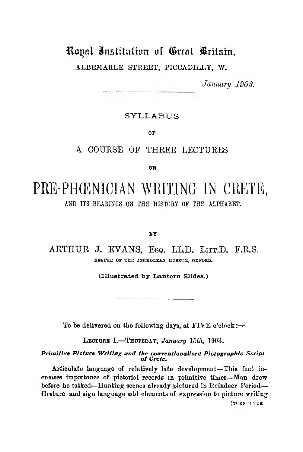## Royal institution of Great Britain,

ALBEMARLE STREET, PICCADILLY, W.

*January 1903.*

## **S Y L L A B U S**

OF

## **A COURSE OF THREE LECTURES**

ON

# **PRE-PHŒNICIAN WRITING IN CRETE,**

**AND ITS BEARINGS ON THE HISTORY OF THE ALPHABET.**

#### BY

## **ARTHUR J. EVANS, Esq. LL.D. LITT.D. F.R.S.** KREPER OF THE ASHMOLEAN MUSEUM, OXFORD.

(Illustrated by Lantern Slides.)

To be delivered on the following days, at  $\tt FIVE$  o'clock :-

LECTURE I.-THURSDAY, *January* 15th, 1903.

*Primitive Picture Writing and the conventionalised Plctograpblc Script ot Crete.*

Articulate language of relatively late development—This fact increases importance of pictorial records in primitive times—Man drew before be talked—Hunting scenes already pictured in Reindeer Period— Gesture and sign language add elements of expression to picture writing [TURN OVER]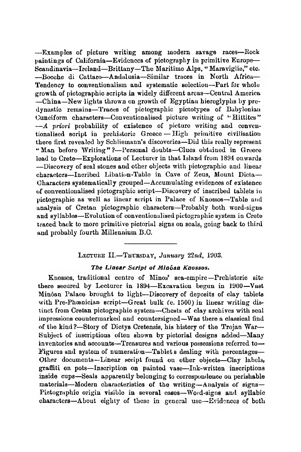— Examples of picture writing among modem savage races— Rock paintings of California—Evidences of pictography in primitive Europe— Scandinavia—Ireland—Brittany—The Maritime Alps, " Maraviglie," etc. — Bocolie di Cattaro— Andalusia—Similar traces in North Africa— Tendency to conventionalism and systematic selection—Part for whole growth of pictographic scripts in widely different areas— Central America —China—New lights thrown on growth of Egyptiau hieroglyphs by predynastic remains—Traces of pictographic pictotypes of Babylonian Cuneiform characters-Conventionalised picture writing of "Hittites" *— A priori* probability of existence of picture writing and conventionalised script in prehistoric Greece — High primitive civilisation there first revealed by Schliemann's discoveries—Did this really represent " Man before Writing" ?- Personal doubts-Clues obtained in Greece lead to Crete— Explorations of Lecturer in that Island from 1894 onwards — Discovery of seal stones and other objects with pictographic and linear characters—Incribed Libation-Table in Cave of Zeus, Mount Dicta— Characters systematically grouped—Accumulating evidences of existence of conventionalised pictographic script—Discovery of inscribed tablets in pictographic as well as linear script in Palace of Knossos—Table and analysis of Cretan pictographic characters— Probably both word-signs and syllables—Evolution of conventionalised pictographic system in Crete traced back to more primitive pictorial signs on seals, going back to third and probably fourth Millennium B.C.

#### LECTURE II.-THUESDAY, *January* 22nd, 1903.

#### *The Linear Script of Minôan Knossos.*

Knossos, traditional centre of Minos' sea-empire—Prehistoric site there secured by Lecturer in 1894— Excavation begun in 1900—Vast Minôan Palace brought to light— Discovery of deposits of clay tablets with Pre-Phœnician script— Great bulk *(c.* 1500) in linear writing distinct from Cretan pictographic system—Chests of clay archives with seal impressions couutermarked and countersigned—Was there a classical find of the kind?—Story of Dictys Cretensis, his history of the Trojan War— Subject of inscriptions often shown by pictorial designs added—Many inventories and accounts—Treasures and various possessions referred to— Figures and system of numeration—Tablet s dealing with percentages— Other documents—Linear script found on other objects—Clay labels, graffiti on pots—Inscription on painted vase— Ink-written inscriptions inside cups—Seals apparently belonging to correspondence on perishable materials— Modern characteristics of the writing— Analysis of signs— Pictographic origin visible in several cases—Word-signs and syllabic characters-About eighty of these in general use-Evidences of both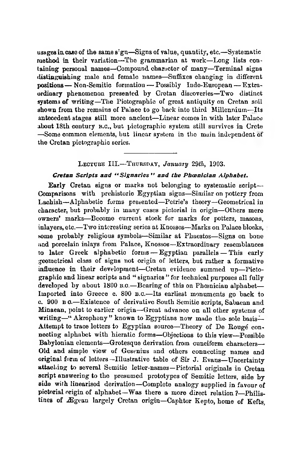usages in case of the same sign—Signs of value, quantity, etc.—Systematic method in their variation—The grammarian at work—Long lists containing peraonal names—Compound character of many—Terminal signs distinguishing male and female names— Suffixes changing in different positions— Non-Semitic formation — Possibly Indo-European — Extraordinary phenomenon presented by Cretan discoveries—Two distinct systems of writing—The Pictographic of great antiquity on Cretan soil shown from the remains of Palace to go back into third Millennium—Its antecedent stages still more ancient—Linear comes in with later Palace about 18th century n.c., but pictographic system still survives in Crete —Some common elements, but linear system in the main independent of the Cretan pictographic scries.

#### L ecture III.— T hursday, *January 29th,* 1903.

#### *Cretan Scripts and " Signaries " and the Phoenician Alphabet.*

Early Cretan signs or marks not belonging to systematic script— Comparisons with prehistoric Egyptian signs—Similar on pottery from Lachish— Alphabetic forms presented—Petrie's theory—Geometrical in character, but probably in many cases pictorial in origin—Others mere owners' marks— Become current stock for marks for potters, masons, inlayers, etc.— Two interesting series at Knossos—Marks on Palace blocks, some probably religious symbols—Similar at Phaestos—Signs on bone and porcelain inlays from Palace, Knossos—Extraordinary resemblances to later Greek alphabetic forms — Egyptian parallels — This early geometrical class of signs not origin of letters, but rather a formative influence in their development— Cretan evidence summed up—Pictographic and linear scripts and " signaries " for technical purposes all fully developed by about 1800 B.C.—Bearing of this on Phoenician alphabet— Imported into Greece c. 800 b.c.— Its earliest monuments go back to c. 900 b o.— Existence of derivative South Semitic scripts, Sabaean and Minaean, point to earlier origin— Great advance on all other systems of writing—" Akrophony" known to Egyptians now made the-sole basis— Attempt to trace letters to Egyptian source—Theory of De Bougé connecting alphabet with hieratic forms—Objections to this view—Possible Babylonian elements—Grotesque derivation from cuneiform characters— Old and simple view of Gestnius and others connecting names and original form of letters —Illustrative table of Sir J. Evans—Uncertainty attaching to several Semitic letter-names—Pictorial originals in Cretan script answering to the presumed prototypes of Semitic letters, side by side with linearised derivation—Complete analogy supplied in favour of pictorial origin of alphabet—Was there a more direct relation?—Philistines of Ægean largely Cretan origin—Caphtor Kepto, home of Kefts,